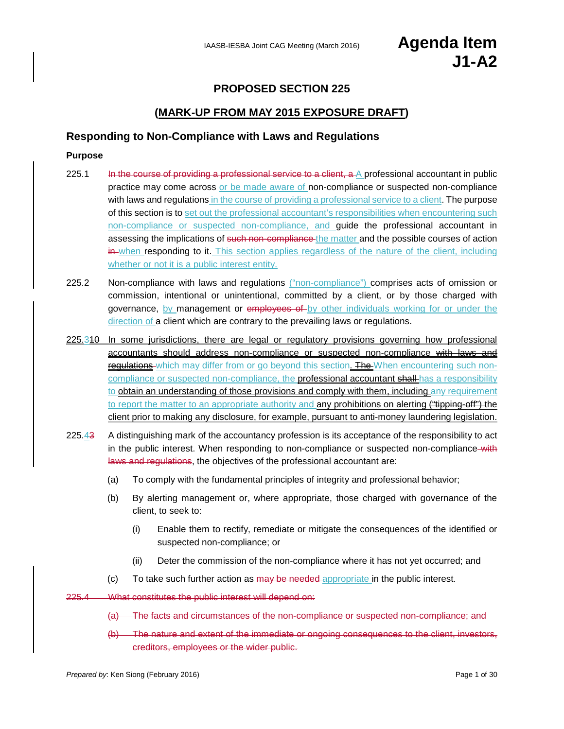IAASB-IESBA Joint CAG Meeting (March 2016) **Agenda Item J1-A2**

# **PROPOSED SECTION 225**

## **(MARK-UP FROM MAY 2015 EXPOSURE DRAFT)**

### **Responding to Non-Compliance with Laws and Regulations**

#### **Purpose**

- 225.1 In the course of providing a professional service to a client, a A professional accountant in public practice may come across or be made aware of non-compliance or suspected non-compliance with laws and regulations in the course of providing a professional service to a client. The purpose of this section is to set out the professional accountant's responsibilities when encountering such non-compliance or suspected non-compliance, and guide the professional accountant in assessing the implications of such non-compliance the matter and the possible courses of action in when responding to it. This section applies regardless of the nature of the client, including whether or not it is a public interest entity.
- 225.2 Non-compliance with laws and regulations ("non-compliance") comprises acts of omission or commission, intentional or unintentional, committed by a client, or by those charged with governance, by management or employees of by other individuals working for or under the direction of a client which are contrary to the prevailing laws or regulations.
- 225.340 In some jurisdictions, there are legal or regulatory provisions governing how professional accountants should address non-compliance or suspected non-compliance with laws and **regulations** which may differ from or go beyond this section. **The** When encountering such noncompliance or suspected non-compliance, the **professional accountant shall** has a responsibility to obtain an understanding of those provisions and comply with them, including any requirement to report the matter to an appropriate authority and any prohibitions on alerting "tipping-off") the client prior to making any disclosure, for example, pursuant to anti-money laundering legislation.
- 225.43 A distinguishing mark of the accountancy profession is its acceptance of the responsibility to act in the public interest. When responding to non-compliance or suspected non-compliance-with laws and regulations, the objectives of the professional accountant are:
	- (a) To comply with the fundamental principles of integrity and professional behavior;
	- (b) By alerting management or, where appropriate, those charged with governance of the client, to seek to:
		- (i) Enable them to rectify, remediate or mitigate the consequences of the identified or suspected non-compliance; or
		- (ii) Deter the commission of the non-compliance where it has not yet occurred; and
	- (c) To take such further action as may be needed appropriate in the public interest.
- 225.4 What constitutes the public interest will depend on:
	- (a) The facts and circumstances of the non-compliance or suspected non-compliance; and
	- (b) The nature and extent of the immediate or ongoing consequences to the client, investors, creditors, employees or the wider public.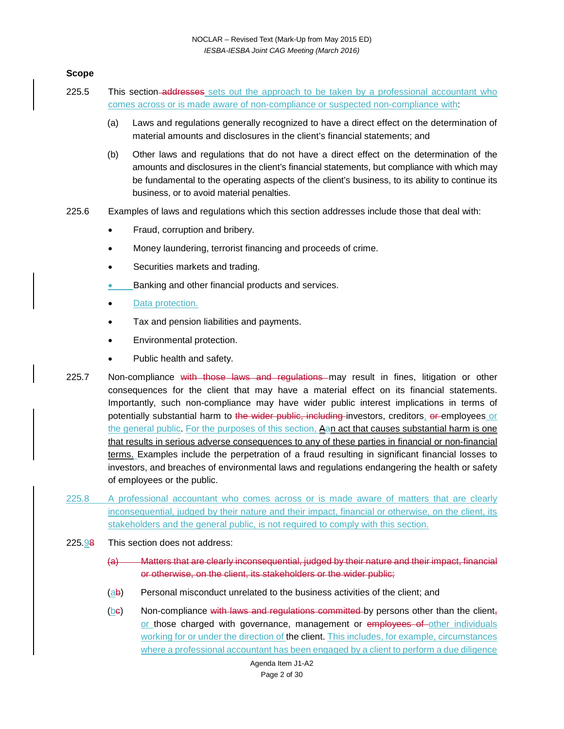### **Scope**

- 225.5 This section–addresses sets out the approach to be taken by a professional accountant who comes across or is made aware of non-compliance or suspected non-compliance with:
	- (a) Laws and regulations generally recognized to have a direct effect on the determination of material amounts and disclosures in the client's financial statements; and
	- (b) Other laws and regulations that do not have a direct effect on the determination of the amounts and disclosures in the client's financial statements, but compliance with which may be fundamental to the operating aspects of the client's business, to its ability to continue its business, or to avoid material penalties.
- 225.6 Examples of laws and regulations which this section addresses include those that deal with:
	- Fraud, corruption and bribery.
	- Money laundering, terrorist financing and proceeds of crime.
	- Securities markets and trading.
	- Banking and other financial products and services.
	- Data protection.
	- Tax and pension liabilities and payments.
	- Environmental protection.
	- Public health and safety.
- 225.7 Non-compliance with those laws and regulations may result in fines, litigation or other consequences for the client that may have a material effect on its financial statements. Importantly, such non-compliance may have wider public interest implications in terms of potentially substantial harm to the wider public, including investors, creditors, or employees or the general public. For the purposes of this section, Aan act that causes substantial harm is one that results in serious adverse consequences to any of these parties in financial or non-financial terms. Examples include the perpetration of a fraud resulting in significant financial losses to investors, and breaches of environmental laws and regulations endangering the health or safety of employees or the public.
- 225.8 A professional accountant who comes across or is made aware of matters that are clearly inconsequential, judged by their nature and their impact, financial or otherwise, on the client, its stakeholders and the general public, is not required to comply with this section.
- 225.98 This section does not address:
	- (a) Matters that are clearly inconsequential, judged by their nature and their impact, financial or otherwise, on the client, its stakeholders or the wider public;
	- (ab) Personal misconduct unrelated to the business activities of the client; and
	- $(be)$  Non-compliance with laws and regulations committed by persons other than the client, or those charged with governance, management or employees of other individuals working for or under the direction of the client. This includes, for example, circumstances where a professional accountant has been engaged by a client to perform a due diligence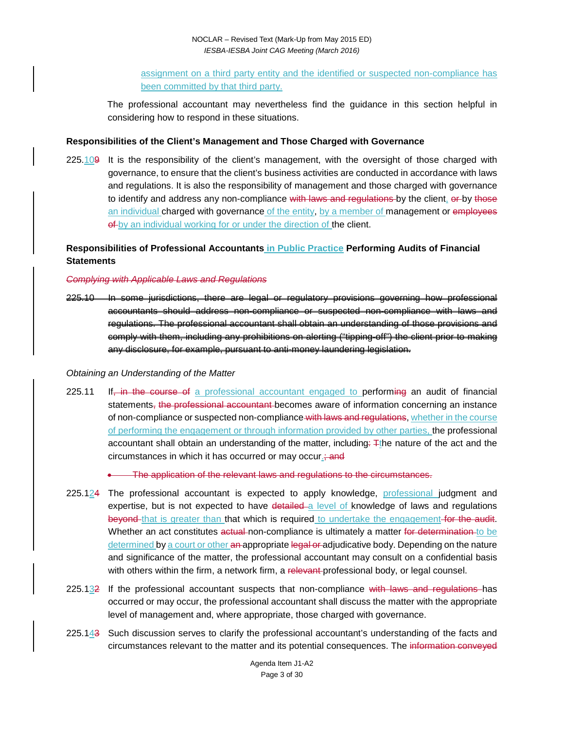assignment on a third party entity and the identified or suspected non-compliance has been committed by that third party.

The professional accountant may nevertheless find the guidance in this section helpful in considering how to respond in these situations.

#### **Responsibilities of the Client's Management and Those Charged with Governance**

225.109 It is the responsibility of the client's management, with the oversight of those charged with governance, to ensure that the client's business activities are conducted in accordance with laws and regulations. It is also the responsibility of management and those charged with governance to identify and address any non-compliance with laws and regulations by the client, or by those an individual charged with governance of the entity, by a member of management or employees of by an individual working for or under the direction of the client.

## **Responsibilities of Professional Accountants in Public Practice Performing Audits of Financial Statements**

#### *Complying with Applicable Laws and Regulations*

225.10 In some jurisdictions, there are legal or regulatory provisions governing how professional accountants should address non-compliance or suspected non-compliance with laws and regulations. The professional accountant shall obtain an understanding of those provisions and comply with them, including any prohibitions on alerting ("tipping-off") the client prior to making any disclosure, for example, pursuant to anti-money laundering legislation.

#### *Obtaining an Understanding of the Matter*

225.11 If, in the course of a professional accountant engaged to performing an audit of financial statements, the professional accountant becomes aware of information concerning an instance of non-compliance or suspected non-compliance with laws and regulations, whether in the course of performing the engagement or through information provided by other parties, the professional accountant shall obtain an understanding of the matter, including: Tthe nature of the act and the circumstances in which it has occurred or may occur.; and

• The application of the relevant laws and regulations to the circumstances.

- 225.124 The professional accountant is expected to apply knowledge, professional judgment and expertise, but is not expected to have detailed a level of knowledge of laws and regulations beyond that is greater than that which is required to undertake the engagement for the audit. Whether an act constitutes actual non-compliance is ultimately a matter for determination to be determined by a court or other an appropriate legal or adjudicative body. Depending on the nature and significance of the matter, the professional accountant may consult on a confidential basis with others within the firm, a network firm, a relevant-professional body, or legal counsel.
- 225.132 If the professional accountant suspects that non-compliance with laws and regulations has occurred or may occur, the professional accountant shall discuss the matter with the appropriate level of management and, where appropriate, those charged with governance.
- 225.143 Such discussion serves to clarify the professional accountant's understanding of the facts and circumstances relevant to the matter and its potential consequences. The information conveyed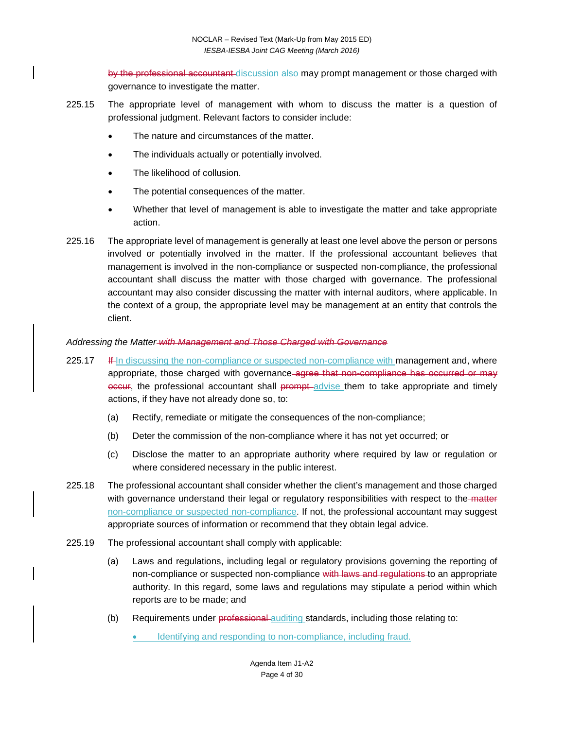by the professional accountant discussion also may prompt management or those charged with governance to investigate the matter.

- 225.15 The appropriate level of management with whom to discuss the matter is a question of professional judgment. Relevant factors to consider include:
	- The nature and circumstances of the matter.
	- The individuals actually or potentially involved.
	- The likelihood of collusion.
	- The potential consequences of the matter.
	- Whether that level of management is able to investigate the matter and take appropriate action.
- 225.16 The appropriate level of management is generally at least one level above the person or persons involved or potentially involved in the matter. If the professional accountant believes that management is involved in the non-compliance or suspected non-compliance, the professional accountant shall discuss the matter with those charged with governance. The professional accountant may also consider discussing the matter with internal auditors, where applicable. In the context of a group, the appropriate level may be management at an entity that controls the client.

#### *Addressing the Matter with Management and Those Charged with Governance*

- 225.17 If In discussing the non-compliance or suspected non-compliance with management and, where appropriate, those charged with governance-agree that non-compliance has occurred or may occur, the professional accountant shall prompt-advise them to take appropriate and timely actions, if they have not already done so, to:
	- (a) Rectify, remediate or mitigate the consequences of the non-compliance;
	- (b) Deter the commission of the non-compliance where it has not yet occurred; or
	- (c) Disclose the matter to an appropriate authority where required by law or regulation or where considered necessary in the public interest.
- 225.18 The professional accountant shall consider whether the client's management and those charged with governance understand their legal or regulatory responsibilities with respect to the matter non-compliance or suspected non-compliance. If not, the professional accountant may suggest appropriate sources of information or recommend that they obtain legal advice.
- 225.19 The professional accountant shall comply with applicable:
	- (a) Laws and regulations, including legal or regulatory provisions governing the reporting of non-compliance or suspected non-compliance with laws and regulations to an appropriate authority. In this regard, some laws and regulations may stipulate a period within which reports are to be made; and
	- (b) Requirements under *professional auditing* standards, including those relating to:

Identifying and responding to non-compliance, including fraud.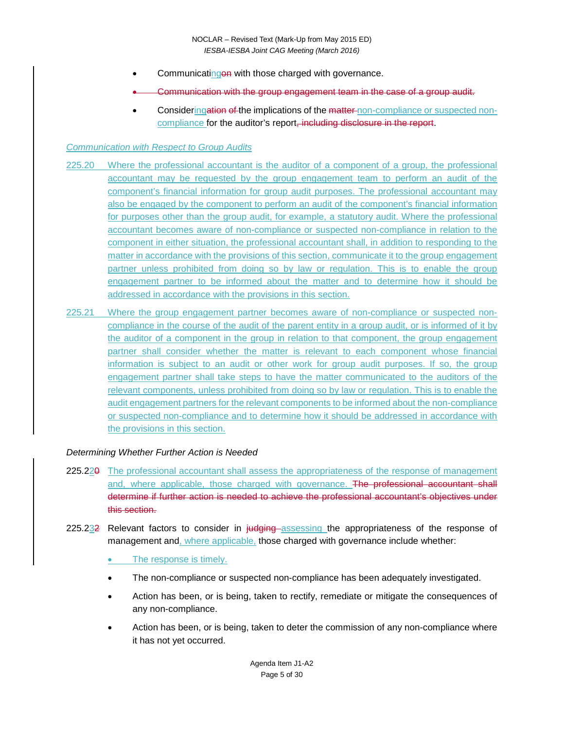- Communicatingon with those charged with governance.
- Communication with the group engagement team in the case of a group audit.
- Consideringation of the implications of the matter non-compliance or suspected noncompliance for the auditor's report, including disclosure in the report.

## *Communication with Respect to Group Audits*

- 225.20 Where the professional accountant is the auditor of a component of a group, the professional accountant may be requested by the group engagement team to perform an audit of the component's financial information for group audit purposes. The professional accountant may also be engaged by the component to perform an audit of the component's financial information for purposes other than the group audit, for example, a statutory audit. Where the professional accountant becomes aware of non-compliance or suspected non-compliance in relation to the component in either situation, the professional accountant shall, in addition to responding to the matter in accordance with the provisions of this section, communicate it to the group engagement partner unless prohibited from doing so by law or regulation. This is to enable the group engagement partner to be informed about the matter and to determine how it should be addressed in accordance with the provisions in this section.
- 225.21 Where the group engagement partner becomes aware of non-compliance or suspected noncompliance in the course of the audit of the parent entity in a group audit, or is informed of it by the auditor of a component in the group in relation to that component, the group engagement partner shall consider whether the matter is relevant to each component whose financial information is subject to an audit or other work for group audit purposes. If so, the group engagement partner shall take steps to have the matter communicated to the auditors of the relevant components, unless prohibited from doing so by law or regulation. This is to enable the audit engagement partners for the relevant components to be informed about the non-compliance or suspected non-compliance and to determine how it should be addressed in accordance with the provisions in this section.

## *Determining Whether Further Action is Needed*

- 225.220 The professional accountant shall assess the appropriateness of the response of management and, where applicable, those charged with governance. The professional accountant shall determine if further action is needed to achieve the professional accountant's objectives under this section.
- 225.232 Relevant factors to consider in judging assessing the appropriateness of the response of management and, where applicable, those charged with governance include whether:
	- The response is timely.
	- The non-compliance or suspected non-compliance has been adequately investigated.
	- Action has been, or is being, taken to rectify, remediate or mitigate the consequences of any non-compliance.
	- Action has been, or is being, taken to deter the commission of any non-compliance where it has not yet occurred.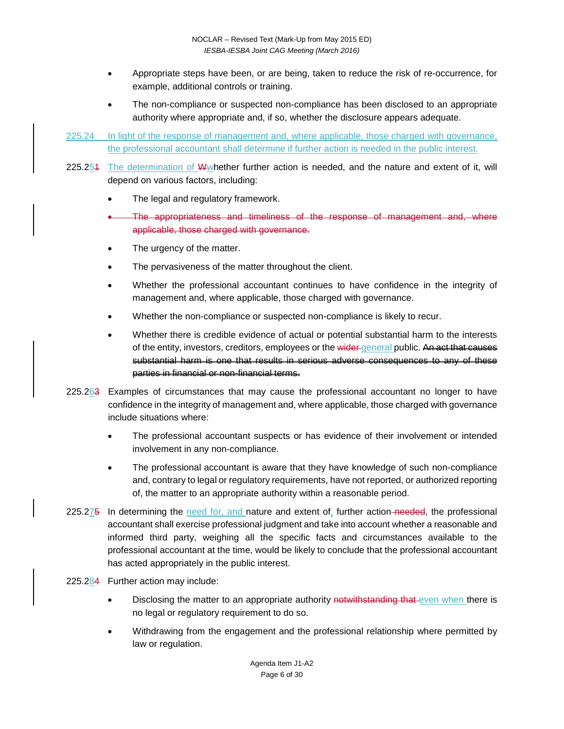- Appropriate steps have been, or are being, taken to reduce the risk of re-occurrence, for example, additional controls or training.
- The non-compliance or suspected non-compliance has been disclosed to an appropriate authority where appropriate and, if so, whether the disclosure appears adequate.
- 225.24 In light of the response of management and, where applicable, those charged with governance, the professional accountant shall determine if further action is needed in the public interest.
- 225.254 The determination of Wwhether further action is needed, and the nature and extent of it, will depend on various factors, including:
	- The legal and regulatory framework.
	- The appropriateness and timeliness of the response of management and, where applicable, those charged with governance.
	- The urgency of the matter.
	- The pervasiveness of the matter throughout the client.
	- Whether the professional accountant continues to have confidence in the integrity of management and, where applicable, those charged with governance.
	- Whether the non-compliance or suspected non-compliance is likely to recur.
	- Whether there is credible evidence of actual or potential substantial harm to the interests of the entity, investors, creditors, employees or the wider-general public. An act that causes substantial harm is one that results in serious adverse consequences to any of these parties in financial or non-financial terms.
- 225.263 Examples of circumstances that may cause the professional accountant no longer to have confidence in the integrity of management and, where applicable, those charged with governance include situations where:
	- The professional accountant suspects or has evidence of their involvement or intended involvement in any non-compliance.
	- The professional accountant is aware that they have knowledge of such non-compliance and, contrary to legal or regulatory requirements, have not reported, or authorized reporting of, the matter to an appropriate authority within a reasonable period.
- $225.275$  In determining the need for, and nature and extent of, further action-needed, the professional accountant shall exercise professional judgment and take into account whether a reasonable and informed third party, weighing all the specific facts and circumstances available to the professional accountant at the time, would be likely to conclude that the professional accountant has acted appropriately in the public interest.
- 225.284 Further action may include:
	- Disclosing the matter to an appropriate authority notwithstanding that even when there is no legal or regulatory requirement to do so.
	- Withdrawing from the engagement and the professional relationship where permitted by law or regulation.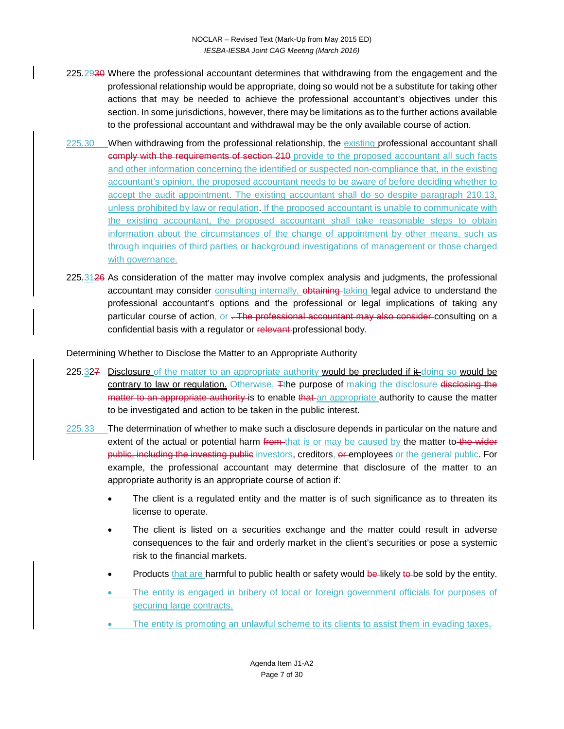- 225.2930 Where the professional accountant determines that withdrawing from the engagement and the professional relationship would be appropriate, doing so would not be a substitute for taking other actions that may be needed to achieve the professional accountant's objectives under this section. In some jurisdictions, however, there may be limitations as to the further actions available to the professional accountant and withdrawal may be the only available course of action.
- 225.30 When withdrawing from the professional relationship, the existing professional accountant shall comply with the requirements of section 210 provide to the proposed accountant all such facts and other information concerning the identified or suspected non-compliance that, in the existing accountant's opinion, the proposed accountant needs to be aware of before deciding whether to accept the audit appointment. The existing accountant shall do so despite paragraph 210.13, unless prohibited by law or regulation. If the proposed accountant is unable to communicate with the existing accountant, the proposed accountant shall take reasonable steps to obtain information about the circumstances of the change of appointment by other means, such as through inquiries of third parties or background investigations of management or those charged with governance.
- 225.3126 As consideration of the matter may involve complex analysis and judgments, the professional accountant may consider consulting internally, obtaining taking legal advice to understand the professional accountant's options and the professional or legal implications of taking any particular course of action, or . The professional accountant may also consider consulting on a confidential basis with a regulator or relevant professional body.

Determining Whether to Disclose the Matter to an Appropriate Authority

- 225.327 Disclosure of the matter to an appropriate authority would be precluded if  $\ddot{\textbf{i}}$  doing so would be contrary to law or regulation. Otherwise, Tthe purpose of making the disclosure disclosing the matter to an appropriate authority is to enable that an appropriate authority to cause the matter to be investigated and action to be taken in the public interest.
- 225.33 The determination of whether to make such a disclosure depends in particular on the nature and extent of the actual or potential harm from that is or may be caused by the matter to the wider public, including the investing public investors, creditors, er-employees or the general public. For example, the professional accountant may determine that disclosure of the matter to an appropriate authority is an appropriate course of action if:
	- The client is a regulated entity and the matter is of such significance as to threaten its license to operate.
	- The client is listed on a securities exchange and the matter could result in adverse consequences to the fair and orderly market in the client's securities or pose a systemic risk to the financial markets.
	- Products that are harmful to public health or safety would be likely to be sold by the entity.
	- The entity is engaged in bribery of local or foreign government officials for purposes of securing large contracts.
	- The entity is promoting an unlawful scheme to its clients to assist them in evading taxes.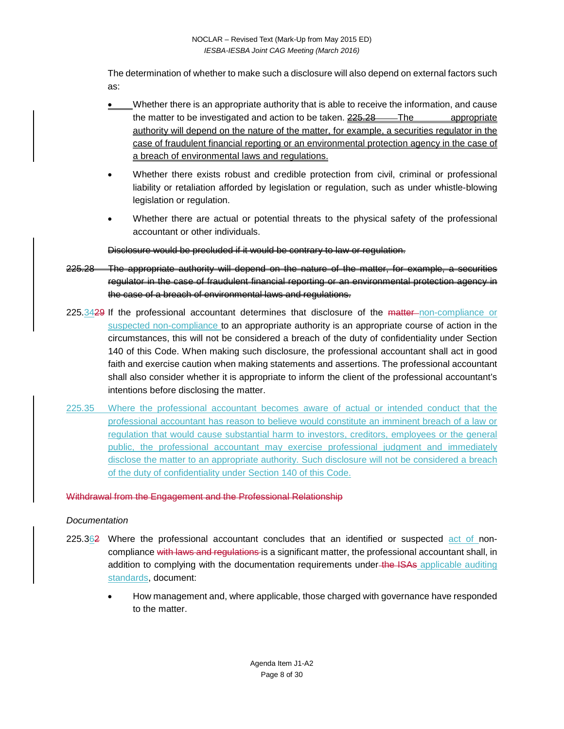The determination of whether to make such a disclosure will also depend on external factors such as:

- Whether there is an appropriate authority that is able to receive the information, and cause the matter to be investigated and action to be taken.  $225.28$  The appropriate authority will depend on the nature of the matter, for example, a securities regulator in the case of fraudulent financial reporting or an environmental protection agency in the case of a breach of environmental laws and regulations.
- Whether there exists robust and credible protection from civil, criminal or professional liability or retaliation afforded by legislation or regulation, such as under whistle-blowing legislation or regulation.
- Whether there are actual or potential threats to the physical safety of the professional accountant or other individuals.

Disclosure would be precluded if it would be contrary to law or regulation.

- 225.28 The appropriate authority will depend on the nature of the matter, for example, a securities regulator in the case of fraudulent financial reporting or an environmental protection agency in the case of a breach of environmental laws and regulations.
- 225.3429 If the professional accountant determines that disclosure of the matter-non-compliance or suspected non-compliance to an appropriate authority is an appropriate course of action in the circumstances, this will not be considered a breach of the duty of confidentiality under Section 140 of this Code. When making such disclosure, the professional accountant shall act in good faith and exercise caution when making statements and assertions. The professional accountant shall also consider whether it is appropriate to inform the client of the professional accountant's intentions before disclosing the matter.
- 225.35 Where the professional accountant becomes aware of actual or intended conduct that the professional accountant has reason to believe would constitute an imminent breach of a law or regulation that would cause substantial harm to investors, creditors, employees or the general public, the professional accountant may exercise professional judgment and immediately disclose the matter to an appropriate authority. Such disclosure will not be considered a breach of the duty of confidentiality under Section 140 of this Code.

## Withdrawal from the Engagement and the Professional Relationship

## *Documentation*

- 225.362 Where the professional accountant concludes that an identified or suspected act of noncompliance with laws and regulations is a significant matter, the professional accountant shall, in addition to complying with the documentation requirements under the ISAs applicable auditing standards, document:
	- How management and, where applicable, those charged with governance have responded to the matter.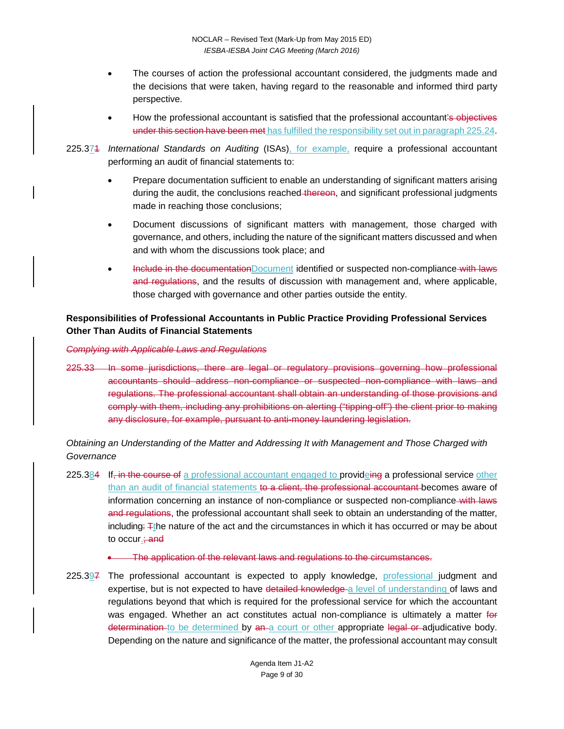- The courses of action the professional accountant considered, the judgments made and the decisions that were taken, having regard to the reasonable and informed third party perspective.
- How the professional accountant is satisfied that the professional accountant's objectives under this section have been met has fulfilled the responsibility set out in paragraph 225.24.
- 225.371 *International Standards on Auditing* (ISAs), for example, require a professional accountant performing an audit of financial statements to:
	- Prepare documentation sufficient to enable an understanding of significant matters arising during the audit, the conclusions reached thereon, and significant professional judgments made in reaching those conclusions;
	- Document discussions of significant matters with management, those charged with governance, and others, including the nature of the significant matters discussed and when and with whom the discussions took place; and
	- Include in the documentationDocument identified or suspected non-compliance with laws and regulations, and the results of discussion with management and, where applicable, those charged with governance and other parties outside the entity.

## **Responsibilities of Professional Accountants in Public Practice Providing Professional Services Other Than Audits of Financial Statements**

### *Complying with Applicable Laws and Regulations*

225.33 In some jurisdictions, there are legal or regulatory provisions governing how professional accountants should address non-compliance or suspected non-compliance with laws and regulations. The professional accountant shall obtain an understanding of those provisions and comply with them, including any prohibitions on alerting ("tipping-off") the client prior to making any disclosure, for example, pursuant to anti-money laundering legislation.

# *Obtaining an Understanding of the Matter and Addressing It with Management and Those Charged with Governance*

225.384 If, in the course of a professional accountant engaged to provideing a professional service other than an audit of financial statements to a client, the professional accountant becomes aware of information concerning an instance of non-compliance or suspected non-compliance with laws and regulations, the professional accountant shall seek to obtain an understanding of the matter, including:  $\pm$ the nature of the act and the circumstances in which it has occurred or may be about to occur.; and

• The application of the relevant laws and regulations to the circumstances.

225.397 The professional accountant is expected to apply knowledge, professional judgment and expertise, but is not expected to have detailed knowledge a level of understanding of laws and regulations beyond that which is required for the professional service for which the accountant was engaged. Whether an act constitutes actual non-compliance is ultimately a matter for determination to be determined by an a court or other appropriate legal or adjudicative body. Depending on the nature and significance of the matter, the professional accountant may consult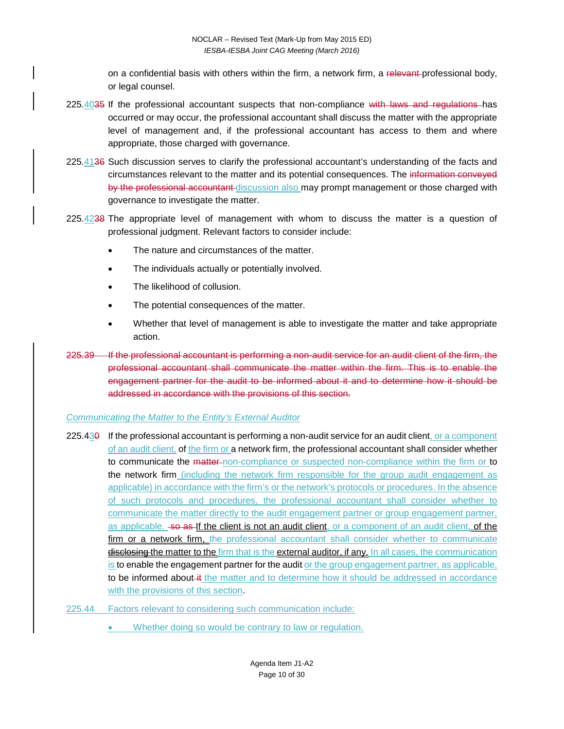on a confidential basis with others within the firm, a network firm, a relevant-professional body, or legal counsel.

- 225.4035 If the professional accountant suspects that non-compliance with laws and regulations has occurred or may occur, the professional accountant shall discuss the matter with the appropriate level of management and, if the professional accountant has access to them and where appropriate, those charged with governance.
- 225.4136 Such discussion serves to clarify the professional accountant's understanding of the facts and circumstances relevant to the matter and its potential consequences. The information conveyed by the professional accountant discussion also may prompt management or those charged with governance to investigate the matter.
- 225.4238 The appropriate level of management with whom to discuss the matter is a question of professional judgment. Relevant factors to consider include:
	- The nature and circumstances of the matter.
	- The individuals actually or potentially involved.
	- The likelihood of collusion.
	- The potential consequences of the matter.
	- Whether that level of management is able to investigate the matter and take appropriate action.
- 225.39 If the professional accountant is performing a non-audit service for an audit client of the firm, the professional accountant shall communicate the matter within the firm. This is to enable the engagement partner for the audit to be informed about it and to determine how it should be addressed in accordance with the provisions of this section.

#### *Communicating the Matter to the Entity's External Auditor*

- 225.430 If the professional accountant is performing a non-audit service for an audit client, or a component of an audit client, of the firm or a network firm, the professional accountant shall consider whether to communicate the matter non-compliance or suspected non-compliance within the firm or to the network firm (including the network firm responsible for the group audit engagement as applicable) in accordance with the firm's or the network's protocols or procedures. In the absence of such protocols and procedures, the professional accountant shall consider whether to communicate the matter directly to the audit engagement partner or group engagement partner, as applicable. so as If the client is not an audit client, or a component of an audit client, of the firm or a network firm, the professional accountant shall consider whether to communicate disclosing the matter to the firm that is the external auditor, if any. In all cases, the communication is to enable the engagement partner for the audit or the group engagement partner, as applicable, to be informed about-it the matter and to determine how it should be addressed in accordance with the provisions of this section.
- 225.44 Factors relevant to considering such communication include:
	- Whether doing so would be contrary to law or regulation.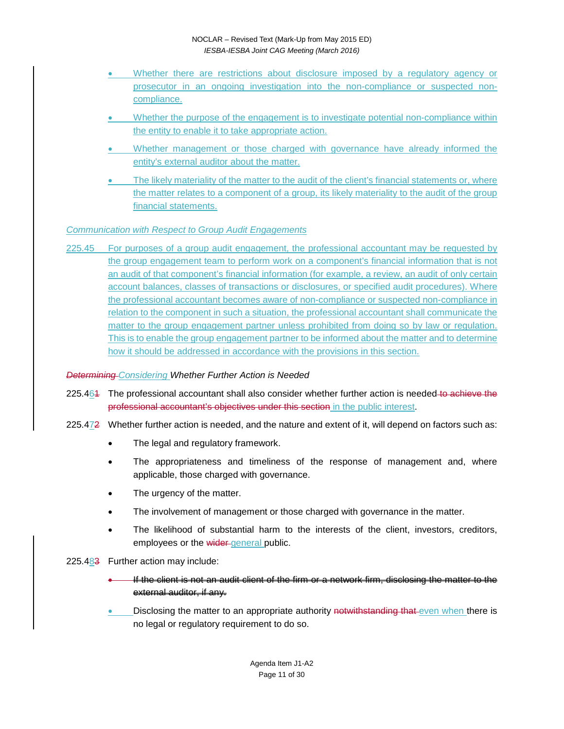- Whether there are restrictions about disclosure imposed by a regulatory agency or prosecutor in an ongoing investigation into the non-compliance or suspected noncompliance.
- Whether the purpose of the engagement is to investigate potential non-compliance within the entity to enable it to take appropriate action.
- Whether management or those charged with governance have already informed the entity's external auditor about the matter.
- The likely materiality of the matter to the audit of the client's financial statements or, where the matter relates to a component of a group, its likely materiality to the audit of the group financial statements.

## *Communication with Respect to Group Audit Engagements*

225.45 For purposes of a group audit engagement, the professional accountant may be requested by the group engagement team to perform work on a component's financial information that is not an audit of that component's financial information (for example, a review, an audit of only certain account balances, classes of transactions or disclosures, or specified audit procedures). Where the professional accountant becomes aware of non-compliance or suspected non-compliance in relation to the component in such a situation, the professional accountant shall communicate the matter to the group engagement partner unless prohibited from doing so by law or regulation. This is to enable the group engagement partner to be informed about the matter and to determine how it should be addressed in accordance with the provisions in this section.

## *Determining Considering Whether Further Action is Needed*

- 225.464 The professional accountant shall also consider whether further action is needed to achieve the professional accountant's objectives under this section in the public interest.
- 225.472 Whether further action is needed, and the nature and extent of it, will depend on factors such as:
	- The legal and regulatory framework.
	- The appropriateness and timeliness of the response of management and, where applicable, those charged with governance.
	- The urgency of the matter.
	- The involvement of management or those charged with governance in the matter.
	- The likelihood of substantial harm to the interests of the client, investors, creditors, employees or the wider-general public.
- 225.4 $83$  Further action may include:
	- If the client is not an audit client of the firm or a network firm, disclosing the matter to the external auditor, if any.
	- Disclosing the matter to an appropriate authority notwithstanding that even when there is no legal or regulatory requirement to do so.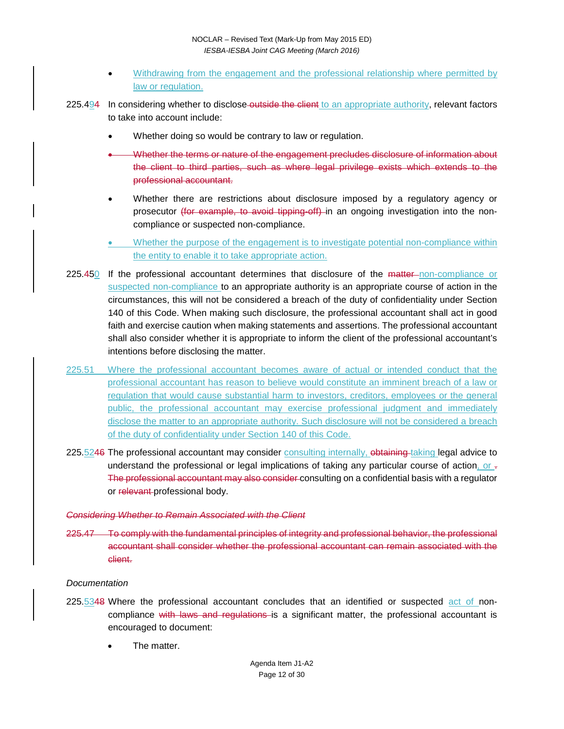- Withdrawing from the engagement and the professional relationship where permitted by law or regulation.
- 225.494 In considering whether to disclose outside the client to an appropriate authority, relevant factors to take into account include:
	- Whether doing so would be contrary to law or regulation.
	- Whether the terms or nature of the engagement precludes disclosure of information about the client to third parties, such as where legal privilege exists which extends to the professional accountant.
	- Whether there are restrictions about disclosure imposed by a regulatory agency or prosecutor (for example, to avoid tipping-off) in an ongoing investigation into the noncompliance or suspected non-compliance.
	- Whether the purpose of the engagement is to investigate potential non-compliance within the entity to enable it to take appropriate action.
- 225.450 If the professional accountant determines that disclosure of the matter-non-compliance or suspected non-compliance to an appropriate authority is an appropriate course of action in the circumstances, this will not be considered a breach of the duty of confidentiality under Section 140 of this Code. When making such disclosure, the professional accountant shall act in good faith and exercise caution when making statements and assertions. The professional accountant shall also consider whether it is appropriate to inform the client of the professional accountant's intentions before disclosing the matter.
- 225.51 Where the professional accountant becomes aware of actual or intended conduct that the professional accountant has reason to believe would constitute an imminent breach of a law or regulation that would cause substantial harm to investors, creditors, employees or the general public, the professional accountant may exercise professional judgment and immediately disclose the matter to an appropriate authority. Such disclosure will not be considered a breach of the duty of confidentiality under Section 140 of this Code.
- 225.5246 The professional accountant may consider consulting internally, obtaining taking legal advice to understand the professional or legal implications of taking any particular course of action, or  $\overline{z}$ The professional accountant may also consider consulting on a confidential basis with a regulator or relevant professional body.

#### *Considering Whether to Remain Associated with the Client*

225.47 To comply with the fundamental principles of integrity and professional behavior, the professional accountant shall consider whether the professional accountant can remain associated with the client.

## *Documentation*

- 225.5348 Where the professional accountant concludes that an identified or suspected act of noncompliance with laws and regulations is a significant matter, the professional accountant is encouraged to document:
	- The matter.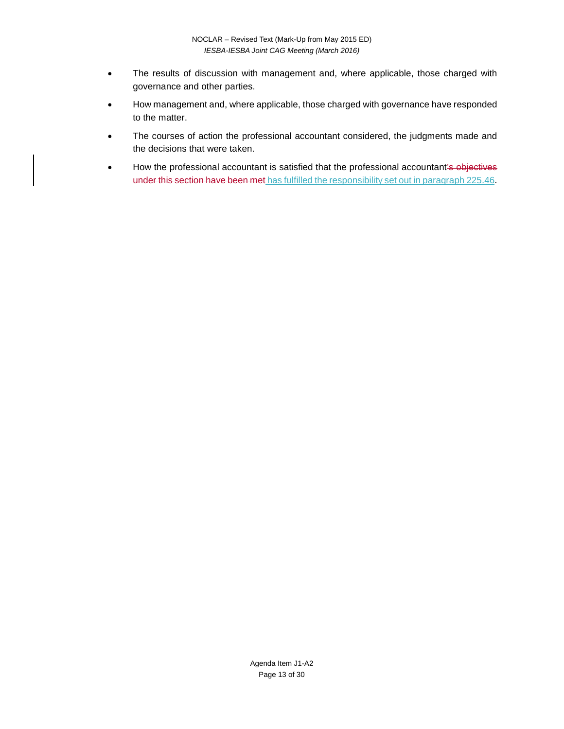- The results of discussion with management and, where applicable, those charged with governance and other parties.
- How management and, where applicable, those charged with governance have responded to the matter.
- The courses of action the professional accountant considered, the judgments made and the decisions that were taken.
- How the professional accountant is satisfied that the professional accountant's objectives under this section have been met has fulfilled the responsibility set out in paragraph 225.46.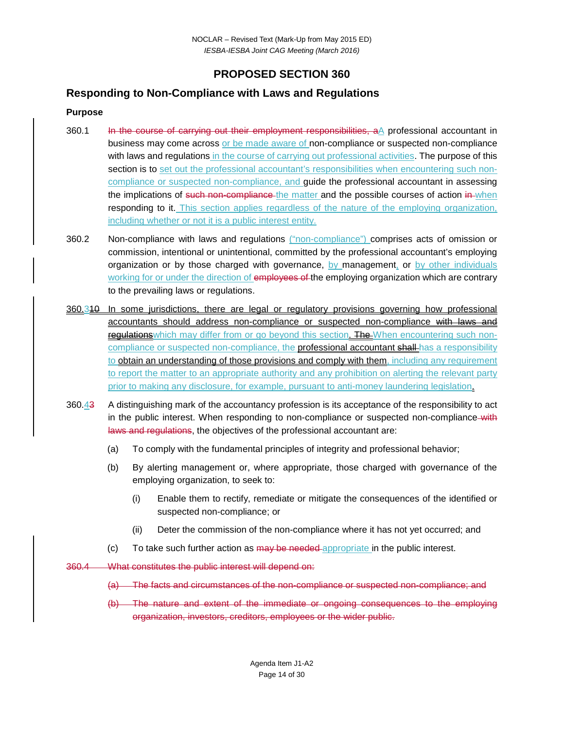# **PROPOSED SECTION 360**

# **Responding to Non-Compliance with Laws and Regulations**

### **Purpose**

- 360.1 In the course of carrying out their employment responsibilities, a Aprofessional accountant in business may come across or be made aware of non-compliance or suspected non-compliance with laws and regulations in the course of carrying out professional activities. The purpose of this section is to set out the professional accountant's responsibilities when encountering such noncompliance or suspected non-compliance, and guide the professional accountant in assessing the implications of such non-compliance the matter and the possible courses of action in when responding to it. This section applies regardless of the nature of the employing organization, including whether or not it is a public interest entity.
- 360.2 Non-compliance with laws and regulations ("non-compliance") comprises acts of omission or commission, intentional or unintentional, committed by the professional accountant's employing organization or by those charged with governance, by management, or by other individuals working for or under the direction of employees of the employing organization which are contrary to the prevailing laws or regulations.
- 360.310 In some jurisdictions, there are legal or regulatory provisions governing how professional accountants should address non-compliance or suspected non-compliance with laws and **regulations** which may differ from or go beyond this section. The When encountering such noncompliance or suspected non-compliance, the **professional accountant shall**-has a responsibility to obtain an understanding of those provisions and comply with them, including any requirement to report the matter to an appropriate authority and any prohibition on alerting the relevant party prior to making any disclosure, for example, pursuant to anti-money laundering legislation.
- 360.43 A distinguishing mark of the accountancy profession is its acceptance of the responsibility to act in the public interest. When responding to non-compliance or suspected non-compliance with laws and regulations, the objectives of the professional accountant are:
	- (a) To comply with the fundamental principles of integrity and professional behavior;
	- (b) By alerting management or, where appropriate, those charged with governance of the employing organization, to seek to:
		- (i) Enable them to rectify, remediate or mitigate the consequences of the identified or suspected non-compliance; or
		- (ii) Deter the commission of the non-compliance where it has not yet occurred; and
	- (c) To take such further action as may be needed appropriate in the public interest.
- 360.4 What constitutes the public interest will depend on:
	- (a) The facts and circumstances of the non-compliance or suspected non-compliance; and
	- The nature and extent of the immediate or ongoing consequences to the employing organization, investors, creditors, employees or the wider public.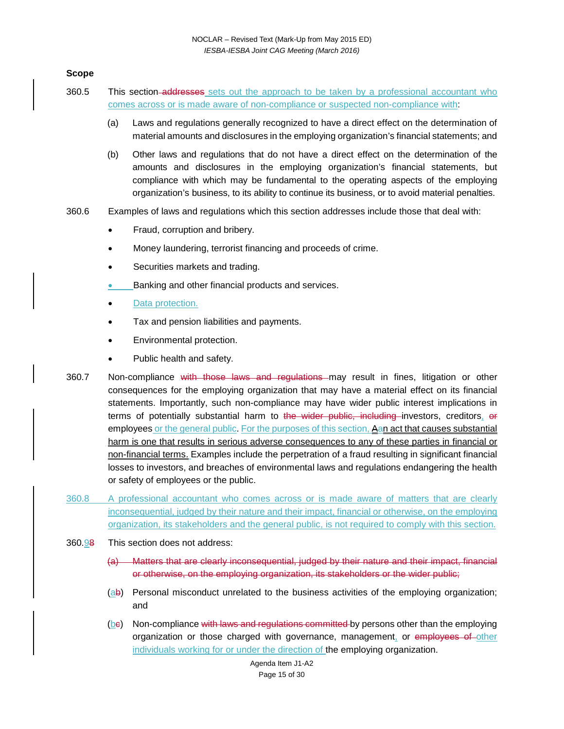### **Scope**

- **360.5** This section–addresses sets out the approach to be taken by a professional accountant who comes across or is made aware of non-compliance or suspected non-compliance with:
	- (a) Laws and regulations generally recognized to have a direct effect on the determination of material amounts and disclosures in the employing organization's financial statements; and
	- (b) Other laws and regulations that do not have a direct effect on the determination of the amounts and disclosures in the employing organization's financial statements, but compliance with which may be fundamental to the operating aspects of the employing organization's business, to its ability to continue its business, or to avoid material penalties.
- 360.6 Examples of laws and regulations which this section addresses include those that deal with:
	- Fraud, corruption and bribery.
	- Money laundering, terrorist financing and proceeds of crime.
	- Securities markets and trading.
	- Banking and other financial products and services.
	- Data protection.
	- Tax and pension liabilities and payments.
	- Environmental protection.
	- Public health and safety.
- 360.7 Non-compliance with those laws and regulations may result in fines, litigation or other consequences for the employing organization that may have a material effect on its financial statements. Importantly, such non-compliance may have wider public interest implications in terms of potentially substantial harm to the wider public, including investors, creditors, or employees or the general public. For the purposes of this section, Aan act that causes substantial harm is one that results in serious adverse consequences to any of these parties in financial or non-financial terms. Examples include the perpetration of a fraud resulting in significant financial losses to investors, and breaches of environmental laws and regulations endangering the health or safety of employees or the public.
- 360.8 A professional accountant who comes across or is made aware of matters that are clearly inconsequential, judged by their nature and their impact, financial or otherwise, on the employing organization, its stakeholders and the general public, is not required to comply with this section.
- 360.98 This section does not address:
	- (a) Matters that are clearly inconsequential, judged by their nature and their impact, financial or otherwise, on the employing organization, its stakeholders or the wider public;
	- (ab) Personal misconduct unrelated to the business activities of the employing organization; and
	- (be) Non-compliance with laws and regulations committed by persons other than the employing organization or those charged with governance, management, or employees of other individuals working for or under the direction of the employing organization.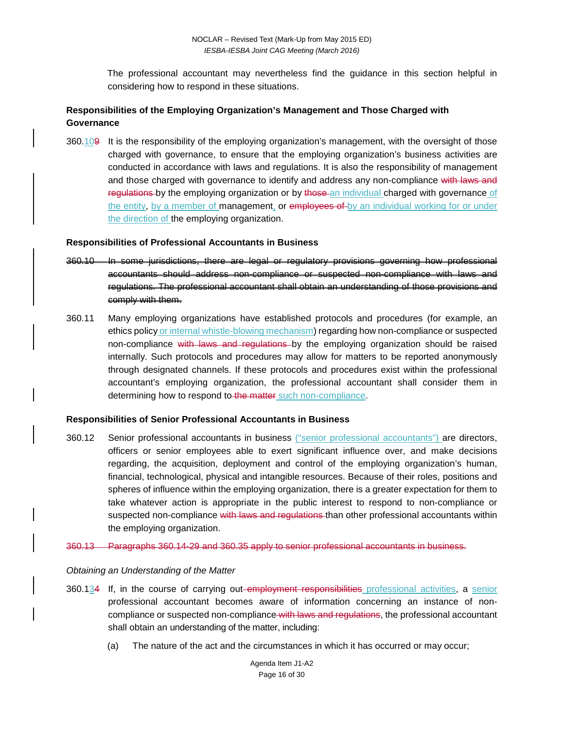The professional accountant may nevertheless find the guidance in this section helpful in considering how to respond in these situations.

## **Responsibilities of the Employing Organization's Management and Those Charged with Governance**

360.109 It is the responsibility of the employing organization's management, with the oversight of those charged with governance, to ensure that the employing organization's business activities are conducted in accordance with laws and regulations. It is also the responsibility of management and those charged with governance to identify and address any non-compliance with laws and regulations by the employing organization or by those an individual charged with governance of the entity, by a member of **management**, or **employees of** by an individual working for or under the direction of the employing organization.

#### **Responsibilities of Professional Accountants in Business**

- 360.10 In some jurisdictions, there are legal or regulatory provisions governing how professional accountants should address non-compliance or suspected non-compliance with laws and regulations. The professional accountant shall obtain an understanding of those provisions and comply with them.
- 360.11 Many employing organizations have established protocols and procedures (for example, an ethics policy or internal whistle-blowing mechanism) regarding how non-compliance or suspected non-compliance with laws and regulations by the employing organization should be raised internally. Such protocols and procedures may allow for matters to be reported anonymously through designated channels. If these protocols and procedures exist within the professional accountant's employing organization, the professional accountant shall consider them in determining how to respond to the matter such non-compliance.

#### **Responsibilities of Senior Professional Accountants in Business**

360.12 Senior professional accountants in business ("senior professional accountants") are directors, officers or senior employees able to exert significant influence over, and make decisions regarding, the acquisition, deployment and control of the employing organization's human, financial, technological, physical and intangible resources. Because of their roles, positions and spheres of influence within the employing organization, there is a greater expectation for them to take whatever action is appropriate in the public interest to respond to non-compliance or suspected non-compliance with laws and regulations than other professional accountants within the employing organization.

### 360.13 Paragraphs 360.14-29 and 360.35 apply to senior professional accountants in business.

#### *Obtaining an Understanding of the Matter*

- 360.134 If, in the course of carrying out–employment responsibilities professional activities, a senior professional accountant becomes aware of information concerning an instance of noncompliance or suspected non-compliance-with laws and regulations, the professional accountant shall obtain an understanding of the matter, including:
	- (a) The nature of the act and the circumstances in which it has occurred or may occur;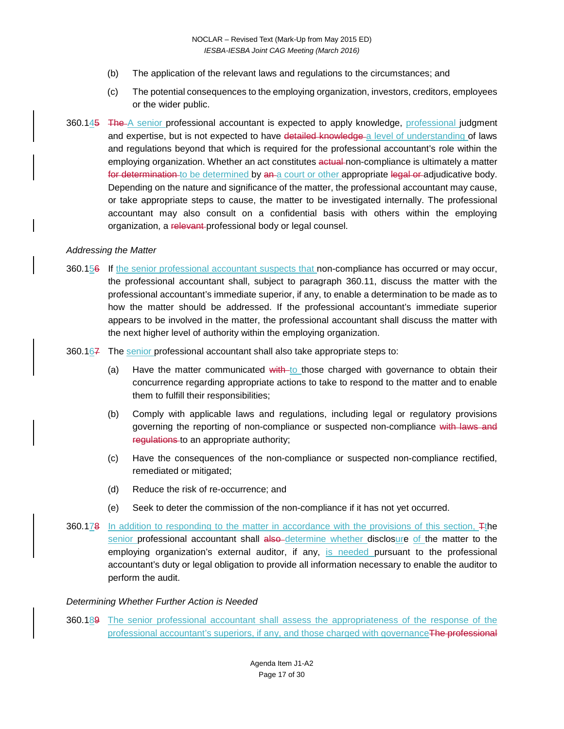- (b) The application of the relevant laws and regulations to the circumstances; and
- (c) The potential consequences to the employing organization, investors, creditors, employees or the wider public.
- 360.145 The A senior professional accountant is expected to apply knowledge, professional judgment and expertise, but is not expected to have detailed knowledge a level of understanding of laws and regulations beyond that which is required for the professional accountant's role within the employing organization. Whether an act constitutes actual non-compliance is ultimately a matter for determination to be determined by an a court or other appropriate legal or adjudicative body. Depending on the nature and significance of the matter, the professional accountant may cause, or take appropriate steps to cause, the matter to be investigated internally. The professional accountant may also consult on a confidential basis with others within the employing organization, a relevant-professional body or legal counsel.

### *Addressing the Matter*

- 360.156 If the senior professional accountant suspects that non-compliance has occurred or may occur, the professional accountant shall, subject to paragraph 360.11, discuss the matter with the professional accountant's immediate superior, if any, to enable a determination to be made as to how the matter should be addressed. If the professional accountant's immediate superior appears to be involved in the matter, the professional accountant shall discuss the matter with the next higher level of authority within the employing organization.
- 360.167 The senior professional accountant shall also take appropriate steps to:
	- (a) Have the matter communicated  $with$ -to those charged with governance to obtain their concurrence regarding appropriate actions to take to respond to the matter and to enable them to fulfill their responsibilities;
	- (b) Comply with applicable laws and regulations, including legal or regulatory provisions governing the reporting of non-compliance or suspected non-compliance with laws and regulations to an appropriate authority;
	- (c) Have the consequences of the non-compliance or suspected non-compliance rectified, remediated or mitigated;
	- (d) Reduce the risk of re-occurrence; and
	- (e) Seek to deter the commission of the non-compliance if it has not yet occurred.
- 360.178 In addition to responding to the matter in accordance with the provisions of this section, Tthe senior professional accountant shall also-determine whether disclosure of the matter to the employing organization's external auditor, if any, is needed pursuant to the professional accountant's duty or legal obligation to provide all information necessary to enable the auditor to perform the audit.

#### *Determining Whether Further Action is Needed*

360.189 The senior professional accountant shall assess the appropriateness of the response of the professional accountant's superiors, if any, and those charged with governance The professional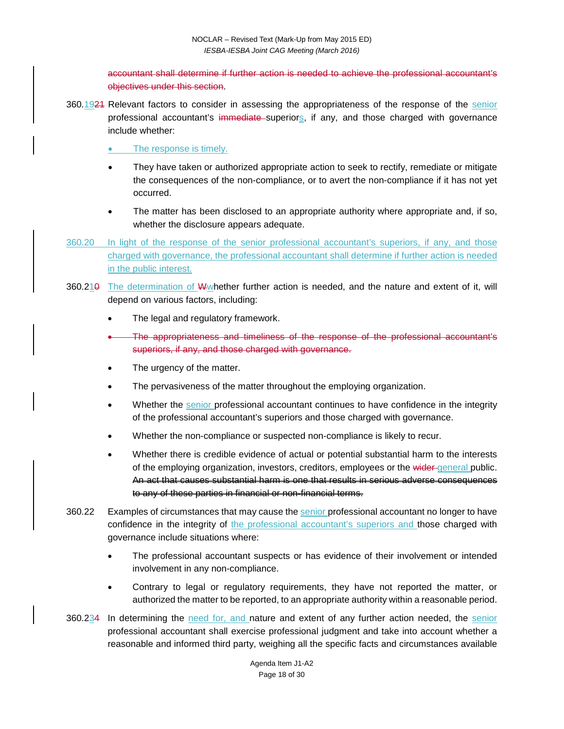accountant shall determine if further action is needed to achieve the professional accountant's objectives under this section.

- 360.1921 Relevant factors to consider in assessing the appropriateness of the response of the senior professional accountant's immediate superiors, if any, and those charged with governance include whether:
	- The response is timely.
	- They have taken or authorized appropriate action to seek to rectify, remediate or mitigate the consequences of the non-compliance, or to avert the non-compliance if it has not yet occurred.
	- The matter has been disclosed to an appropriate authority where appropriate and, if so, whether the disclosure appears adequate.
- 360.20 In light of the response of the senior professional accountant's superiors, if any, and those charged with governance, the professional accountant shall determine if further action is needed in the public interest.
- 360.210 The determination of Wwhether further action is needed, and the nature and extent of it, will depend on various factors, including:
	- The legal and regulatory framework.
	- The appropriateness and timeliness of the response of the professional accountant's superiors, if any, and those charged with governance.
	- The urgency of the matter.
	- The pervasiveness of the matter throughout the employing organization.
	- Whether the senior professional accountant continues to have confidence in the integrity of the professional accountant's superiors and those charged with governance.
	- Whether the non-compliance or suspected non-compliance is likely to recur.
	- Whether there is credible evidence of actual or potential substantial harm to the interests of the employing organization, investors, creditors, employees or the wider-general public. An act that causes substantial harm is one that results in serious adverse consequences to any of these parties in financial or non-financial terms.
- 360.22 Examples of circumstances that may cause the senior professional accountant no longer to have confidence in the integrity of the professional accountant's superiors and those charged with governance include situations where:
	- The professional accountant suspects or has evidence of their involvement or intended involvement in any non-compliance.
	- Contrary to legal or regulatory requirements, they have not reported the matter, or authorized the matter to be reported, to an appropriate authority within a reasonable period.
- 360.234 In determining the need for, and nature and extent of any further action needed, the senior professional accountant shall exercise professional judgment and take into account whether a reasonable and informed third party, weighing all the specific facts and circumstances available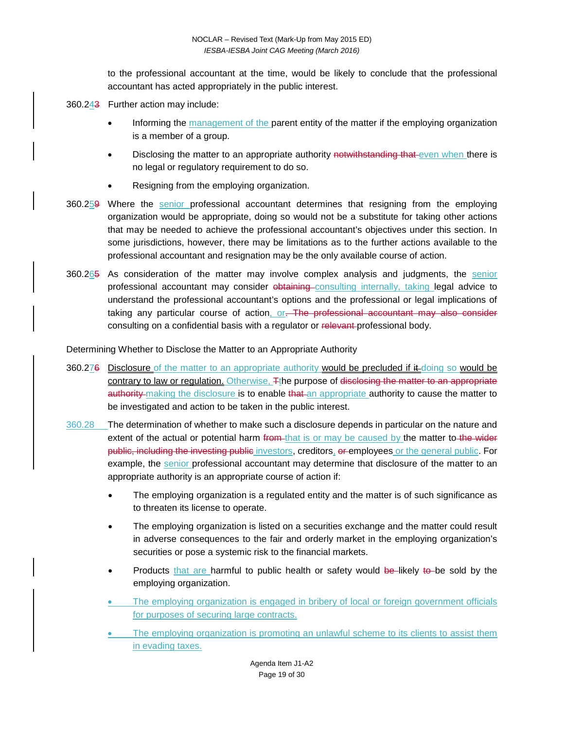to the professional accountant at the time, would be likely to conclude that the professional accountant has acted appropriately in the public interest.

- 360.243 Further action may include:
	- Informing the management of the parent entity of the matter if the employing organization is a member of a group.
	- Disclosing the matter to an appropriate authority notwithstanding that even when there is no legal or regulatory requirement to do so.
	- Resigning from the employing organization.
- 360.259 Where the senior professional accountant determines that resigning from the employing organization would be appropriate, doing so would not be a substitute for taking other actions that may be needed to achieve the professional accountant's objectives under this section. In some jurisdictions, however, there may be limitations as to the further actions available to the professional accountant and resignation may be the only available course of action.
- 360.265 As consideration of the matter may involve complex analysis and judgments, the senior professional accountant may consider obtaining consulting internally, taking legal advice to understand the professional accountant's options and the professional or legal implications of taking any particular course of action, or. The professional accountant may also consider consulting on a confidential basis with a regulator or relevant-professional body.

Determining Whether to Disclose the Matter to an Appropriate Authority

- 360.276 Disclosure of the matter to an appropriate authority would be precluded if it-doing so would be contrary to law or regulation. Otherwise, Tthe purpose of disclosing the matter to an appropriate authority making the disclosure is to enable that an appropriate authority to cause the matter to be investigated and action to be taken in the public interest.
- 360.28 The determination of whether to make such a disclosure depends in particular on the nature and extent of the actual or potential harm from that is or may be caused by the matter to the wider public, including the investing public investors, creditors, er-employees or the general public. For example, the senior professional accountant may determine that disclosure of the matter to an appropriate authority is an appropriate course of action if:
	- The employing organization is a regulated entity and the matter is of such significance as to threaten its license to operate.
	- The employing organization is listed on a securities exchange and the matter could result in adverse consequences to the fair and orderly market in the employing organization's securities or pose a systemic risk to the financial markets.
	- Products that are harmful to public health or safety would be likely to be sold by the employing organization.
	- The employing organization is engaged in bribery of local or foreign government officials for purposes of securing large contracts.
	- The employing organization is promoting an unlawful scheme to its clients to assist them in evading taxes.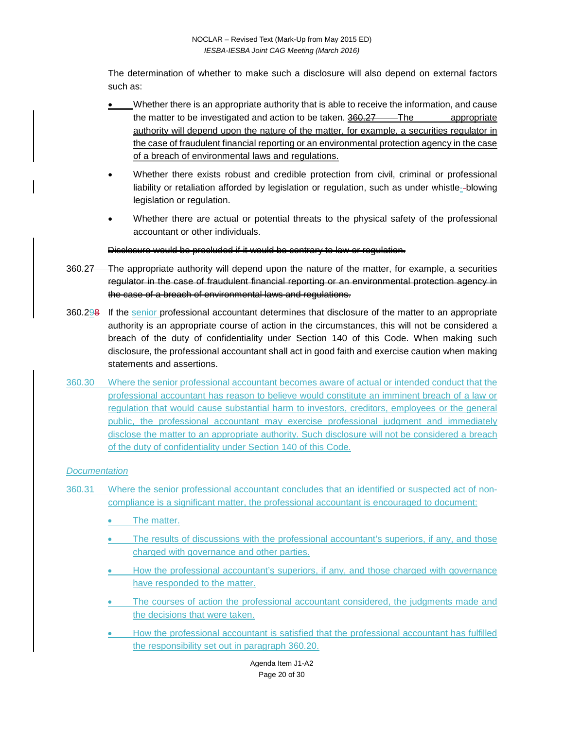The determination of whether to make such a disclosure will also depend on external factors such as:

- Whether there is an appropriate authority that is able to receive the information, and cause the matter to be investigated and action to be taken. 360.27 The appropriate authority will depend upon the nature of the matter, for example, a securities regulator in the case of fraudulent financial reporting or an environmental protection agency in the case of a breach of environmental laws and regulations.
- Whether there exists robust and credible protection from civil, criminal or professional liability or retaliation afforded by legislation or regulation, such as under whistle--blowing legislation or regulation.
- Whether there are actual or potential threats to the physical safety of the professional accountant or other individuals.

Disclosure would be precluded if it would be contrary to law or regulation.

- 360.27 The appropriate authority will depend upon the nature of the matter, for example, a securities regulator in the case of fraudulent financial reporting or an environmental protection agency in the case of a breach of environmental laws and regulations.
- 360.298 If the senior professional accountant determines that disclosure of the matter to an appropriate authority is an appropriate course of action in the circumstances, this will not be considered a breach of the duty of confidentiality under Section 140 of this Code. When making such disclosure, the professional accountant shall act in good faith and exercise caution when making statements and assertions.
- 360.30 Where the senior professional accountant becomes aware of actual or intended conduct that the professional accountant has reason to believe would constitute an imminent breach of a law or regulation that would cause substantial harm to investors, creditors, employees or the general public, the professional accountant may exercise professional judgment and immediately disclose the matter to an appropriate authority. Such disclosure will not be considered a breach of the duty of confidentiality under Section 140 of this Code.

## *Documentation*

- 360.31 Where the senior professional accountant concludes that an identified or suspected act of noncompliance is a significant matter, the professional accountant is encouraged to document:
	- The matter.
	- The results of discussions with the professional accountant's superiors, if any, and those charged with governance and other parties.
	- How the professional accountant's superiors, if any, and those charged with governance have responded to the matter.
	- The courses of action the professional accountant considered, the judgments made and the decisions that were taken.
	- How the professional accountant is satisfied that the professional accountant has fulfilled the responsibility set out in paragraph 360.20.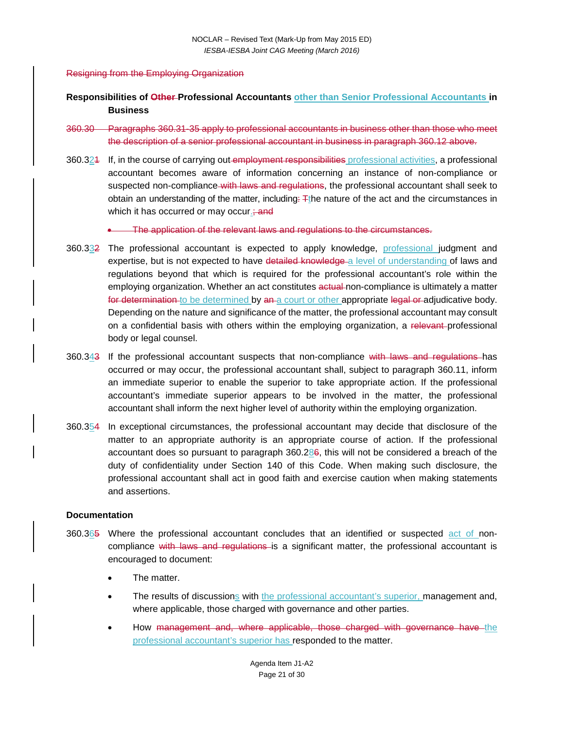#### Resigning from the Employing Organization

## **Responsibilities of Other Professional Accountants other than Senior Professional Accountants in Business**

- 360.30 Paragraphs 360.31-35 apply to professional accountants in business other than those who meet the description of a senior professional accountant in business in paragraph 360.12 above.
- 360.324 If, in the course of carrying out employment responsibilities professional activities, a professional accountant becomes aware of information concerning an instance of non-compliance or suspected non-compliance with laws and regulations, the professional accountant shall seek to obtain an understanding of the matter, including:  $\pm$ the nature of the act and the circumstances in which it has occurred or may occur.; and

• The application of the relevant laws and regulations to the circumstances.

- 360.332 The professional accountant is expected to apply knowledge, professional judgment and expertise, but is not expected to have detailed knowledge a level of understanding of laws and regulations beyond that which is required for the professional accountant's role within the employing organization. Whether an act constitutes actual non-compliance is ultimately a matter for determination to be determined by an a court or other appropriate legal or adjudicative body. Depending on the nature and significance of the matter, the professional accountant may consult on a confidential basis with others within the employing organization, a relevant-professional body or legal counsel.
- 360.343 If the professional accountant suspects that non-compliance with laws and regulations has occurred or may occur, the professional accountant shall, subject to paragraph 360.11, inform an immediate superior to enable the superior to take appropriate action. If the professional accountant's immediate superior appears to be involved in the matter, the professional accountant shall inform the next higher level of authority within the employing organization.
- 360.354 In exceptional circumstances, the professional accountant may decide that disclosure of the matter to an appropriate authority is an appropriate course of action. If the professional accountant does so pursuant to paragraph 360.286, this will not be considered a breach of the duty of confidentiality under Section 140 of this Code. When making such disclosure, the professional accountant shall act in good faith and exercise caution when making statements and assertions.

#### **Documentation**

- 360.365 Where the professional accountant concludes that an identified or suspected act of noncompliance with laws and regulations is a significant matter, the professional accountant is encouraged to document:
	- The matter.
	- The results of discussions with the professional accountant's superior, management and, where applicable, those charged with governance and other parties.
	- How management and, where applicable, those charged with governance have the professional accountant's superior has responded to the matter.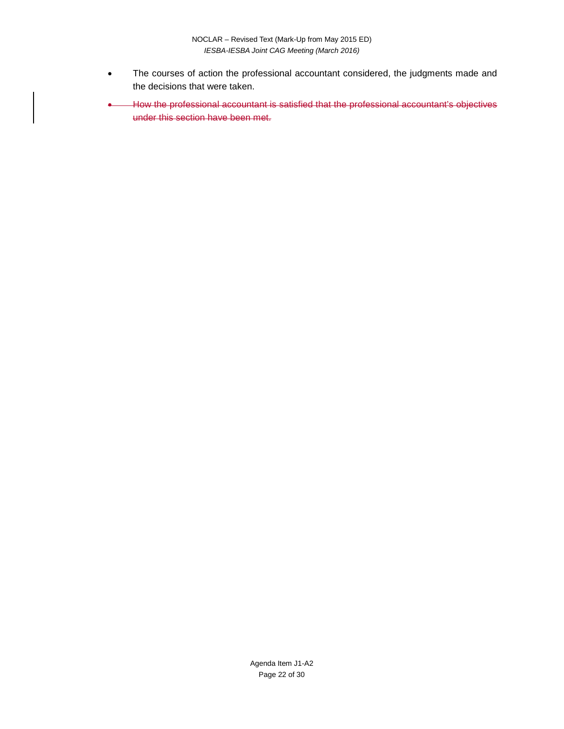- The courses of action the professional accountant considered, the judgments made and the decisions that were taken.
- How the professional accountant is satisfied that the professional accountant's objectives under this section have been met.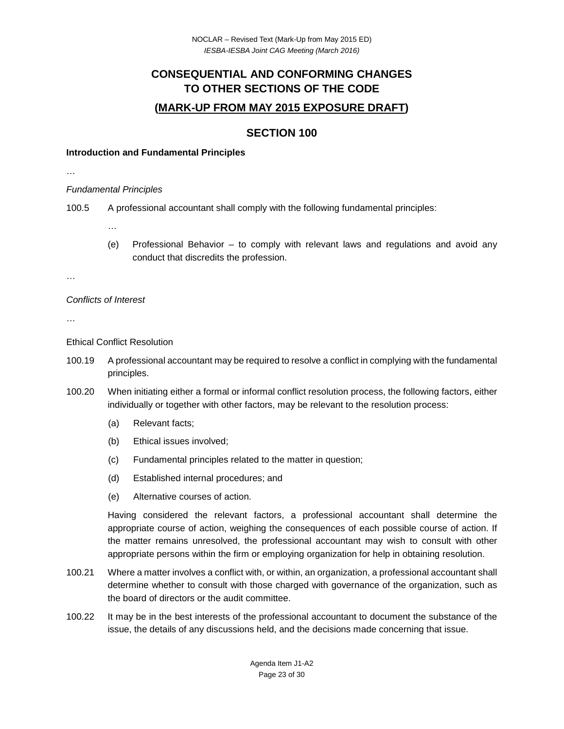# **CONSEQUENTIAL AND CONFORMING CHANGES TO OTHER SECTIONS OF THE CODE**

# **(MARK-UP FROM MAY 2015 [EXPOSURE DR](https://www.ifac.org/ethics/iesba-code)AFT)**

# **SECTION 100**

## **Introduction and Fundamental Principles**

…

*Fundamental Principles*

100.5 A professional accountant shall comply with the following fundamental principles:

…

(e) Professional Behavior – to comply with relevant laws and regulations and avoid any conduct that discredits the profession.

…

*Conflicts of Interest*

…

Ethical Conflict Resolution

- 100.19 A professional accountant may be required to resolve a conflict in complying with the fundamental principles.
- 100.20 When initiating either a formal or informal conflict resolution process, the following factors, either individually or together with other factors, may be relevant to the resolution process:
	- (a) Relevant facts;
	- (b) Ethical issues involved;
	- (c) Fundamental principles related to the matter in question;
	- (d) Established internal procedures; and
	- (e) Alternative courses of action.

Having considered the relevant factors, a professional accountant shall determine the appropriate course of action, weighing the consequences of each possible course of action. If the matter remains unresolved, the professional accountant may wish to consult with other appropriate persons within the firm or employing organization for help in obtaining resolution.

- 100.21 Where a matter involves a conflict with, or within, an organization, a professional accountant shall determine whether to consult with those charged with governance of the organization, such as the board of directors or the audit committee.
- 100.22 It may be in the best interests of the professional accountant to document the substance of the issue, the details of any discussions held, and the decisions made concerning that issue.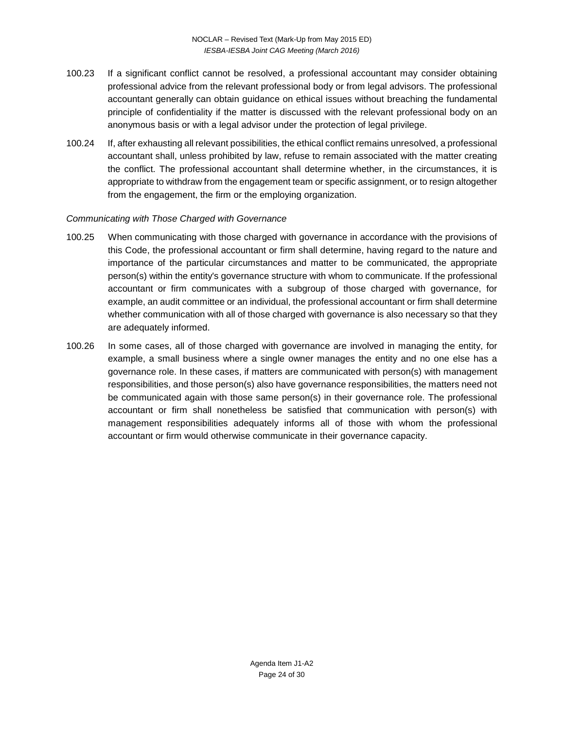- 100.23 If a significant conflict cannot be resolved, a professional accountant may consider obtaining professional advice from the relevant professional body or from legal advisors. The professional accountant generally can obtain guidance on ethical issues without breaching the fundamental principle of confidentiality if the matter is discussed with the relevant professional body on an anonymous basis or with a legal advisor under the protection of legal privilege.
- 100.24 If, after exhausting all relevant possibilities, the ethical conflict remains unresolved, a professional accountant shall, unless prohibited by law, refuse to remain associated with the matter creating the conflict. The professional accountant shall determine whether, in the circumstances, it is appropriate to withdraw from the engagement team or specific assignment, or to resign altogether from the engagement, the firm or the employing organization.

#### *Communicating with Those Charged with Governance*

- 100.25 When communicating with those charged with governance in accordance with the provisions of this Code, the professional accountant or firm shall determine, having regard to the nature and importance of the particular circumstances and matter to be communicated, the appropriate person(s) within the entity's governance structure with whom to communicate. If the professional accountant or firm communicates with a subgroup of those charged with governance, for example, an audit committee or an individual, the professional accountant or firm shall determine whether communication with all of those charged with governance is also necessary so that they are adequately informed.
- 100.26 In some cases, all of those charged with governance are involved in managing the entity, for example, a small business where a single owner manages the entity and no one else has a governance role. In these cases, if matters are communicated with person(s) with management responsibilities, and those person(s) also have governance responsibilities, the matters need not be communicated again with those same person(s) in their governance role. The professional accountant or firm shall nonetheless be satisfied that communication with person(s) with management responsibilities adequately informs all of those with whom the professional accountant or firm would otherwise communicate in their governance capacity.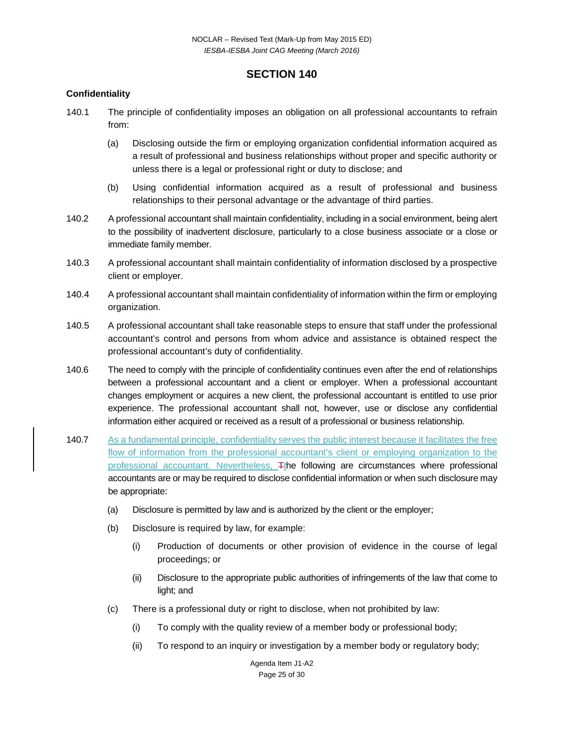# **SECTION 140**

## **Confidentiality**

- 140.1 The principle of confidentiality imposes an obligation on all professional accountants to refrain from:
	- (a) Disclosing outside the firm or employing organization confidential information acquired as a result of professional and business relationships without proper and specific authority or unless there is a legal or professional right or duty to disclose; and
	- (b) Using confidential information acquired as a result of professional and business relationships to their personal advantage or the advantage of third parties.
- 140.2 A professional accountant shall maintain confidentiality, including in a social environment, being alert to the possibility of inadvertent disclosure, particularly to a close business associate or a close or immediate family member.
- 140.3 A professional accountant shall maintain confidentiality of information disclosed by a prospective client or employer.
- 140.4 A professional accountant shall maintain confidentiality of information within the firm or employing organization.
- 140.5 A professional accountant shall take reasonable steps to ensure that staff under the professional accountant's control and persons from whom advice and assistance is obtained respect the professional accountant's duty of confidentiality.
- 140.6 The need to comply with the principle of confidentiality continues even after the end of relationships between a professional accountant and a client or employer. When a professional accountant changes employment or acquires a new client, the professional accountant is entitled to use prior experience. The professional accountant shall not, however, use or disclose any confidential information either acquired or received as a result of a professional or business relationship.
- 140.7 As a fundamental principle, confidentiality serves the public interest because it facilitates the free flow of information from the professional accountant's client or employing organization to the professional accountant. Nevertheless, Tthe following are circumstances where professional accountants are or may be required to disclose confidential information or when such disclosure may be appropriate:
	- (a) Disclosure is permitted by law and is authorized by the client or the employer;
	- (b) Disclosure is required by law, for example:
		- (i) Production of documents or other provision of evidence in the course of legal proceedings; or
		- (ii) Disclosure to the appropriate public authorities of infringements of the law that come to light; and
	- (c) There is a professional duty or right to disclose, when not prohibited by law:
		- (i) To comply with the quality review of a member body or professional body;
		- (ii) To respond to an inquiry or investigation by a member body or regulatory body;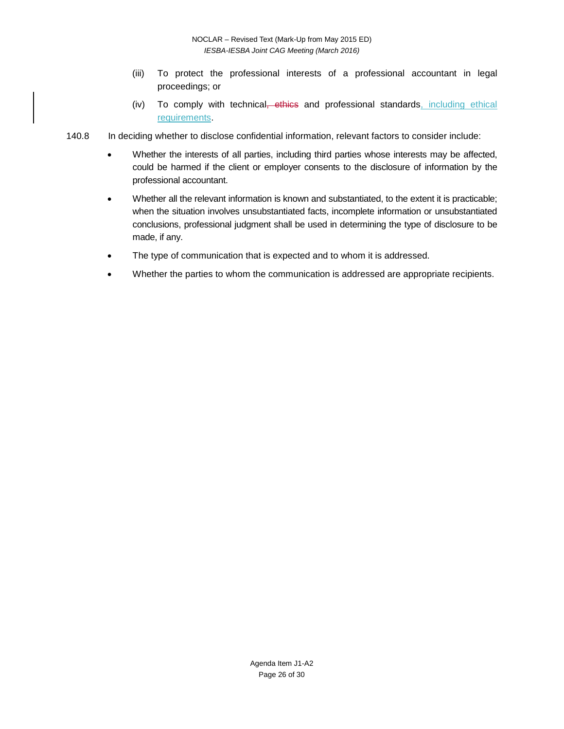- (iii) To protect the professional interests of a professional accountant in legal proceedings; or
- (iv) To comply with technical, ethics and professional standards, including ethical requirements.
- 140.8 In deciding whether to disclose confidential information, relevant factors to consider include:
	- Whether the interests of all parties, including third parties whose interests may be affected, could be harmed if the client or employer consents to the disclosure of information by the professional accountant.
	- Whether all the relevant information is known and substantiated, to the extent it is practicable; when the situation involves unsubstantiated facts, incomplete information or unsubstantiated conclusions, professional judgment shall be used in determining the type of disclosure to be made, if any.
	- The type of communication that is expected and to whom it is addressed.
	- Whether the parties to whom the communication is addressed are appropriate recipients.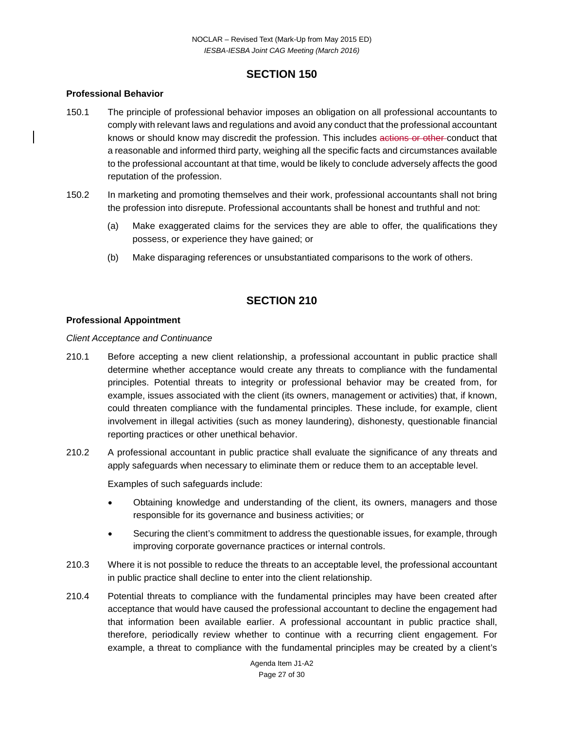# **SECTION 150**

## **Professional Behavior**

- 150.1 The principle of professional behavior imposes an obligation on all professional accountants to comply with relevant laws and regulations and avoid any conduct that the professional accountant knows or should know may discredit the profession. This includes actions or other conduct that a reasonable and informed third party, weighing all the specific facts and circumstances available to the professional accountant at that time, would be likely to conclude adversely affects the good reputation of the profession.
- 150.2 In marketing and promoting themselves and their work, professional accountants shall not bring the profession into disrepute. Professional accountants shall be honest and truthful and not:
	- (a) Make exaggerated claims for the services they are able to offer, the qualifications they possess, or experience they have gained; or
	- (b) Make disparaging references or unsubstantiated comparisons to the work of others.

# **SECTION 210**

### **Professional Appointment**

#### *Client Acceptance and Continuance*

- 210.1 Before accepting a new client relationship, a professional accountant in public practice shall determine whether acceptance would create any threats to compliance with the fundamental principles. Potential threats to integrity or professional behavior may be created from, for example, issues associated with the client (its owners, management or activities) that, if known, could threaten compliance with the fundamental principles. These include, for example, client involvement in illegal activities (such as money laundering), dishonesty, questionable financial reporting practices or other unethical behavior.
- 210.2 A professional accountant in public practice shall evaluate the significance of any threats and apply safeguards when necessary to eliminate them or reduce them to an acceptable level.

Examples of such safeguards include:

- Obtaining knowledge and understanding of the client, its owners, managers and those responsible for its governance and business activities; or
- Securing the client's commitment to address the questionable issues, for example, through improving corporate governance practices or internal controls.
- 210.3 Where it is not possible to reduce the threats to an acceptable level, the professional accountant in public practice shall decline to enter into the client relationship.
- 210.4 Potential threats to compliance with the fundamental principles may have been created after acceptance that would have caused the professional accountant to decline the engagement had that information been available earlier. A professional accountant in public practice shall, therefore, periodically review whether to continue with a recurring client engagement. For example, a threat to compliance with the fundamental principles may be created by a client's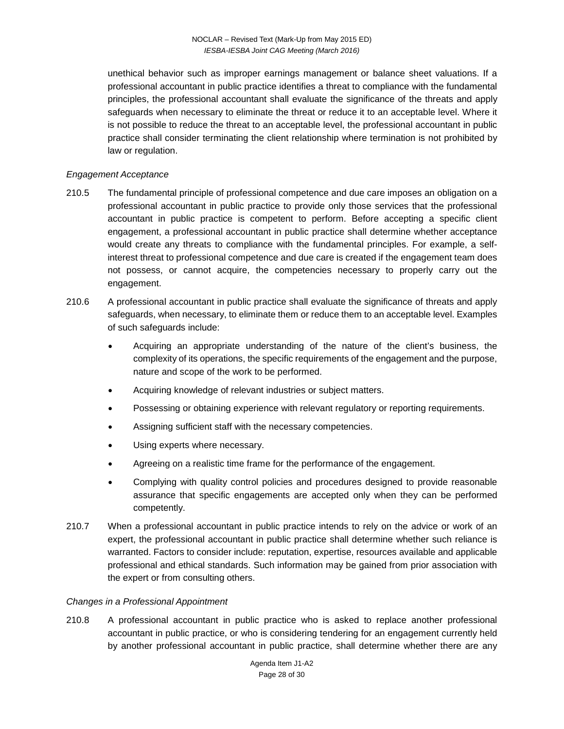unethical behavior such as improper earnings management or balance sheet valuations. If a professional accountant in public practice identifies a threat to compliance with the fundamental principles, the professional accountant shall evaluate the significance of the threats and apply safeguards when necessary to eliminate the threat or reduce it to an acceptable level. Where it is not possible to reduce the threat to an acceptable level, the professional accountant in public practice shall consider terminating the client relationship where termination is not prohibited by law or regulation.

## *Engagement Acceptance*

- 210.5 The fundamental principle of professional competence and due care imposes an obligation on a professional accountant in public practice to provide only those services that the professional accountant in public practice is competent to perform. Before accepting a specific client engagement, a professional accountant in public practice shall determine whether acceptance would create any threats to compliance with the fundamental principles. For example, a selfinterest threat to professional competence and due care is created if the engagement team does not possess, or cannot acquire, the competencies necessary to properly carry out the engagement.
- 210.6 A professional accountant in public practice shall evaluate the significance of threats and apply safeguards, when necessary, to eliminate them or reduce them to an acceptable level. Examples of such safeguards include:
	- Acquiring an appropriate understanding of the nature of the client's business, the complexity of its operations, the specific requirements of the engagement and the purpose, nature and scope of the work to be performed.
	- Acquiring knowledge of relevant industries or subject matters.
	- Possessing or obtaining experience with relevant regulatory or reporting requirements.
	- Assigning sufficient staff with the necessary competencies.
	- Using experts where necessary.
	- Agreeing on a realistic time frame for the performance of the engagement.
	- Complying with quality control policies and procedures designed to provide reasonable assurance that specific engagements are accepted only when they can be performed competently.
- 210.7 When a professional accountant in public practice intends to rely on the advice or work of an expert, the professional accountant in public practice shall determine whether such reliance is warranted. Factors to consider include: reputation, expertise, resources available and applicable professional and ethical standards. Such information may be gained from prior association with the expert or from consulting others.

## *Changes in a Professional Appointment*

210.8 A professional accountant in public practice who is asked to replace another professional accountant in public practice, or who is considering tendering for an engagement currently held by another professional accountant in public practice, shall determine whether there are any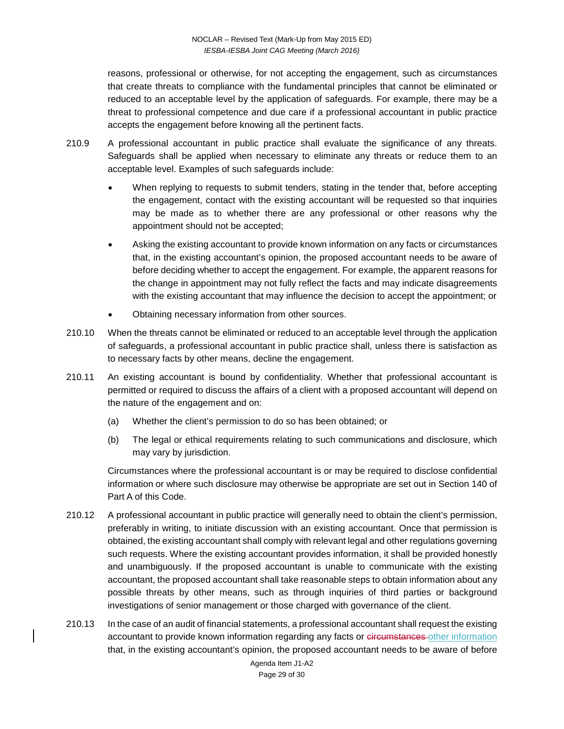reasons, professional or otherwise, for not accepting the engagement, such as circumstances that create threats to compliance with the fundamental principles that cannot be eliminated or reduced to an acceptable level by the application of safeguards. For example, there may be a threat to professional competence and due care if a professional accountant in public practice accepts the engagement before knowing all the pertinent facts.

- 210.9 A professional accountant in public practice shall evaluate the significance of any threats. Safeguards shall be applied when necessary to eliminate any threats or reduce them to an acceptable level. Examples of such safeguards include:
	- When replying to requests to submit tenders, stating in the tender that, before accepting the engagement, contact with the existing accountant will be requested so that inquiries may be made as to whether there are any professional or other reasons why the appointment should not be accepted;
	- Asking the existing accountant to provide known information on any facts or circumstances that, in the existing accountant's opinion, the proposed accountant needs to be aware of before deciding whether to accept the engagement. For example, the apparent reasons for the change in appointment may not fully reflect the facts and may indicate disagreements with the existing accountant that may influence the decision to accept the appointment; or
	- Obtaining necessary information from other sources.
- 210.10 When the threats cannot be eliminated or reduced to an acceptable level through the application of safeguards, a professional accountant in public practice shall, unless there is satisfaction as to necessary facts by other means, decline the engagement.
- 210.11 An existing accountant is bound by confidentiality. Whether that professional accountant is permitted or required to discuss the affairs of a client with a proposed accountant will depend on the nature of the engagement and on:
	- (a) Whether the client's permission to do so has been obtained; or
	- (b) The legal or ethical requirements relating to such communications and disclosure, which may vary by jurisdiction.

Circumstances where the professional accountant is or may be required to disclose confidential information or where such disclosure may otherwise be appropriate are set out in Section 140 of Part A of this Code.

- 210.12 A professional accountant in public practice will generally need to obtain the client's permission, preferably in writing, to initiate discussion with an existing accountant. Once that permission is obtained, the existing accountant shall comply with relevant legal and other regulations governing such requests. Where the existing accountant provides information, it shall be provided honestly and unambiguously. If the proposed accountant is unable to communicate with the existing accountant, the proposed accountant shall take reasonable steps to obtain information about any possible threats by other means, such as through inquiries of third parties or background investigations of senior management or those charged with governance of the client.
- 210.13 In the case of an audit of financial statements, a professional accountant shall request the existing accountant to provide known information regarding any facts or eircumstances other information that, in the existing accountant's opinion, the proposed accountant needs to be aware of before